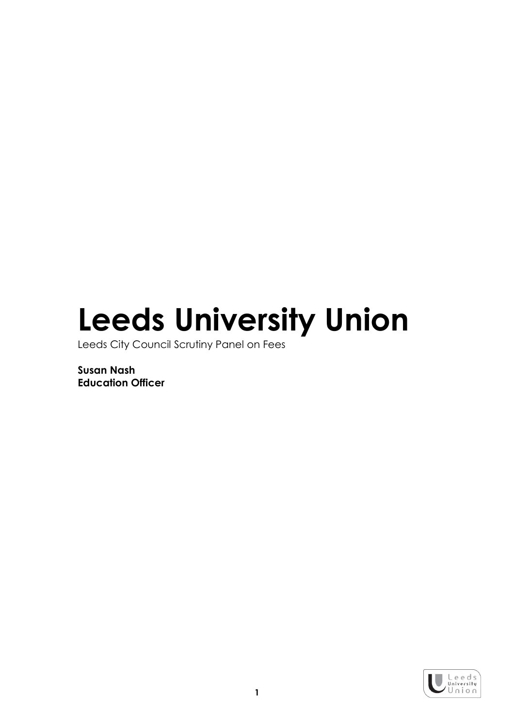## Leeds University Union

Leeds City Council Scrutiny Panel on Fees

Susan Nash Education Officer

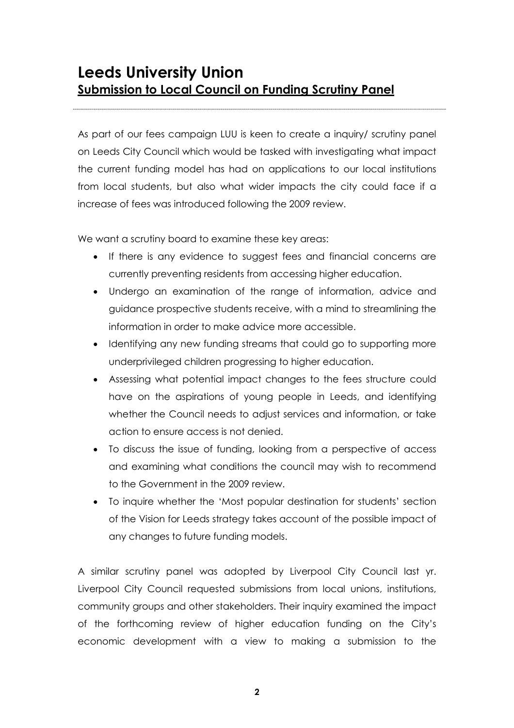As part of our fees campaign LUU is keen to create a inquiry/ scrutiny panel on Leeds City Council which would be tasked with investigating what impact the current funding model has had on applications to our local institutions from local students, but also what wider impacts the city could face if a increase of fees was introduced following the 2009 review.

We want a scrutiny board to examine these key areas:

- If there is any evidence to suggest fees and financial concerns are currently preventing residents from accessing higher education.
- Undergo an examination of the range of information, advice and guidance prospective students receive, with a mind to streamlining the information in order to make advice more accessible.
- Identifying any new funding streams that could go to supporting more underprivileged children progressing to higher education.
- Assessing what potential impact changes to the fees structure could have on the aspirations of young people in Leeds, and identifying whether the Council needs to adjust services and information, or take action to ensure access is not denied.
- To discuss the issue of funding, looking from a perspective of access and examining what conditions the council may wish to recommend to the Government in the 2009 review.
- To inquire whether the 'Most popular destination for students' section of the Vision for Leeds strategy takes account of the possible impact of any changes to future funding models.

A similar scrutiny panel was adopted by Liverpool City Council last yr. Liverpool City Council requested submissions from local unions, institutions, community groups and other stakeholders. Their inquiry examined the impact of the forthcoming review of higher education funding on the City's economic development with a view to making a submission to the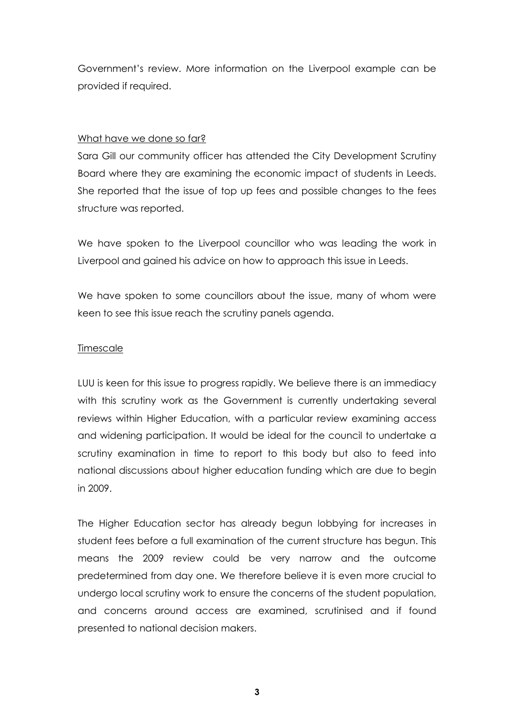Government's review. More information on the Liverpool example can be provided if required.

## What have we done so far?

Sara Gill our community officer has attended the City Development Scrutiny Board where they are examining the economic impact of students in Leeds. She reported that the issue of top up fees and possible changes to the fees structure was reported.

We have spoken to the Liverpool councillor who was leading the work in Liverpool and gained his advice on how to approach this issue in Leeds.

We have spoken to some councillors about the issue, many of whom were keen to see this issue reach the scrutiny panels agenda.

## Timescale

LUU is keen for this issue to progress rapidly. We believe there is an immediacy with this scrutiny work as the Government is currently undertaking several reviews within Higher Education, with a particular review examining access and widening participation. It would be ideal for the council to undertake a scrutiny examination in time to report to this body but also to feed into national discussions about higher education funding which are due to begin in 2009.

The Higher Education sector has already begun lobbying for increases in student fees before a full examination of the current structure has begun. This means the 2009 review could be very narrow and the outcome predetermined from day one. We therefore believe it is even more crucial to undergo local scrutiny work to ensure the concerns of the student population, and concerns around access are examined, scrutinised and if found presented to national decision makers.

3